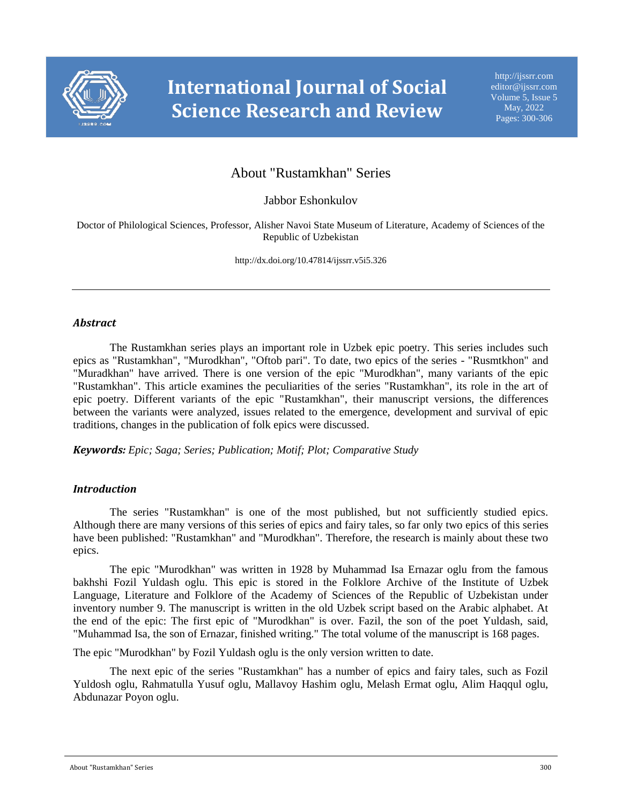

# About "Rustamkhan" Series

Jabbor Eshonkulov

Doctor of Philological Sciences, Professor, Alisher Navoi State Museum of Literature, Academy of Sciences of the Republic of Uzbekistan

http://dx.doi.org/10.47814/ijssrr.v5i5.326

### *Abstract*

The Rustamkhan series plays an important role in Uzbek epic poetry. This series includes such epics as "Rustamkhan", "Murodkhan", "Oftob pari". To date, two epics of the series - "Rusmtkhon" and "Muradkhan" have arrived. There is one version of the epic "Murodkhan", many variants of the epic "Rustamkhan". This article examines the peculiarities of the series "Rustamkhan", its role in the art of epic poetry. Different variants of the epic "Rustamkhan", their manuscript versions, the differences between the variants were analyzed, issues related to the emergence, development and survival of epic traditions, changes in the publication of folk epics were discussed.

*Keywords: Epic; Saga; Series; Publication; Motif; Plot; Comparative Study*

### *Introduction*

The series "Rustamkhan" is one of the most published, but not sufficiently studied epics. Although there are many versions of this series of epics and fairy tales, so far only two epics of this series have been published: "Rustamkhan" and "Murodkhan". Therefore, the research is mainly about these two epics.

The epic "Murodkhan" was written in 1928 by Muhammad Isa Ernazar oglu from the famous bakhshi Fozil Yuldash oglu. This epic is stored in the Folklore Archive of the Institute of Uzbek Language, Literature and Folklore of the Academy of Sciences of the Republic of Uzbekistan under inventory number 9. The manuscript is written in the old Uzbek script based on the Arabic alphabet. At the end of the epic: The first epic of "Murodkhan" is over. Fazil, the son of the poet Yuldash, said, "Muhammad Isa, the son of Ernazar, finished writing." The total volume of the manuscript is 168 pages.

The epic "Murodkhan" by Fozil Yuldash oglu is the only version written to date.

The next epic of the series "Rustamkhan" has a number of epics and fairy tales, such as Fozil Yuldosh oglu, Rahmatulla Yusuf oglu, Mallavoy Hashim oglu, Melash Ermat oglu, Alim Haqqul oglu, Abdunazar Poyon oglu.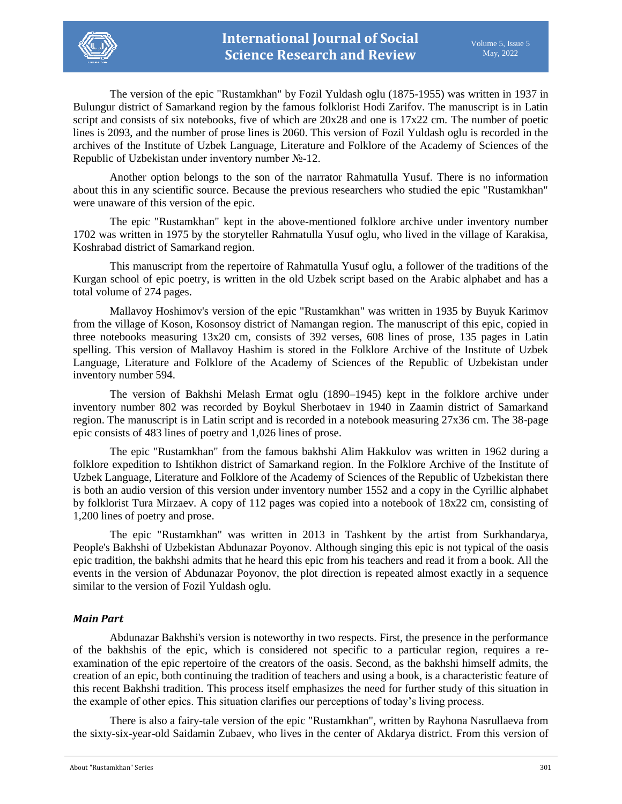The version of the epic "Rustamkhan" by Fozil Yuldash oglu (1875-1955) was written in 1937 in Bulungur district of Samarkand region by the famous folklorist Hodi Zarifov. The manuscript is in Latin script and consists of six notebooks, five of which are 20x28 and one is 17x22 cm. The number of poetic lines is 2093, and the number of prose lines is 2060. This version of Fozil Yuldash oglu is recorded in the archives of the Institute of Uzbek Language, Literature and Folklore of the Academy of Sciences of the Republic of Uzbekistan under inventory number №-12.

Another option belongs to the son of the narrator Rahmatulla Yusuf. There is no information about this in any scientific source. Because the previous researchers who studied the epic "Rustamkhan" were unaware of this version of the epic.

The epic "Rustamkhan" kept in the above-mentioned folklore archive under inventory number 1702 was written in 1975 by the storyteller Rahmatulla Yusuf oglu, who lived in the village of Karakisa, Koshrabad district of Samarkand region.

This manuscript from the repertoire of Rahmatulla Yusuf oglu, a follower of the traditions of the Kurgan school of epic poetry, is written in the old Uzbek script based on the Arabic alphabet and has a total volume of 274 pages.

Mallavoy Hoshimov's version of the epic "Rustamkhan" was written in 1935 by Buyuk Karimov from the village of Koson, Kosonsoy district of Namangan region. The manuscript of this epic, copied in three notebooks measuring 13x20 cm, consists of 392 verses, 608 lines of prose, 135 pages in Latin spelling. This version of Mallavoy Hashim is stored in the Folklore Archive of the Institute of Uzbek Language, Literature and Folklore of the Academy of Sciences of the Republic of Uzbekistan under inventory number 594.

The version of Bakhshi Melash Ermat oglu (1890–1945) kept in the folklore archive under inventory number 802 was recorded by Boykul Sherbotaev in 1940 in Zaamin district of Samarkand region. The manuscript is in Latin script and is recorded in a notebook measuring 27x36 cm. The 38-page epic consists of 483 lines of poetry and 1,026 lines of prose.

The epic "Rustamkhan" from the famous bakhshi Alim Hakkulov was written in 1962 during a folklore expedition to Ishtikhon district of Samarkand region. In the Folklore Archive of the Institute of Uzbek Language, Literature and Folklore of the Academy of Sciences of the Republic of Uzbekistan there is both an audio version of this version under inventory number 1552 and a copy in the Cyrillic alphabet by folklorist Tura Mirzaev. A copy of 112 pages was copied into a notebook of 18x22 cm, consisting of 1,200 lines of poetry and prose.

The epic "Rustamkhan" was written in 2013 in Tashkent by the artist from Surkhandarya, People's Bakhshi of Uzbekistan Abdunazar Poyonov. Although singing this epic is not typical of the oasis epic tradition, the bakhshi admits that he heard this epic from his teachers and read it from a book. All the events in the version of Abdunazar Poyonov, the plot direction is repeated almost exactly in a sequence similar to the version of Fozil Yuldash oglu.

### *Main Part*

Abdunazar Bakhshi's version is noteworthy in two respects. First, the presence in the performance of the bakhshis of the epic, which is considered not specific to a particular region, requires a reexamination of the epic repertoire of the creators of the oasis. Second, as the bakhshi himself admits, the creation of an epic, both continuing the tradition of teachers and using a book, is a characteristic feature of this recent Bakhshi tradition. This process itself emphasizes the need for further study of this situation in the example of other epics. This situation clarifies our perceptions of today's living process.

There is also a fairy-tale version of the epic "Rustamkhan", written by Rayhona Nasrullaeva from the sixty-six-year-old Saidamin Zubaev, who lives in the center of Akdarya district. From this version of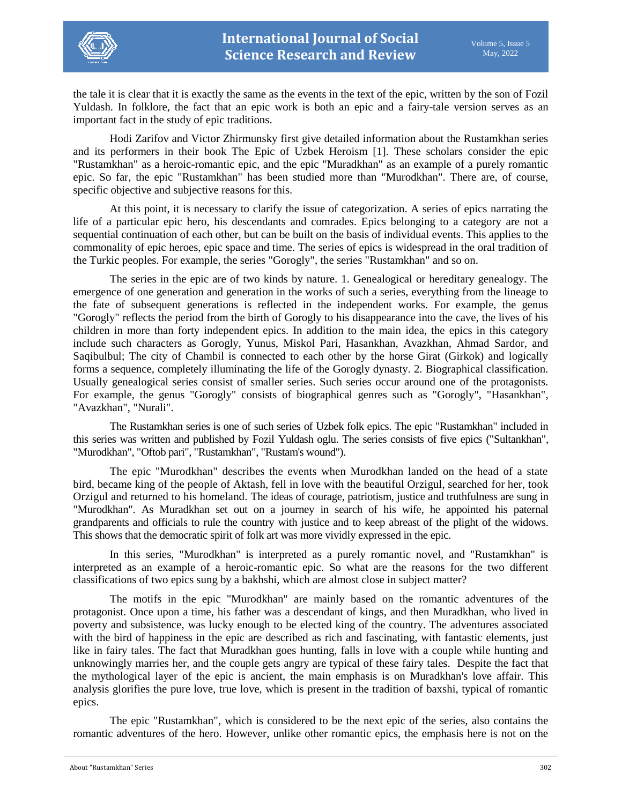

the tale it is clear that it is exactly the same as the events in the text of the epic, written by the son of Fozil Yuldash. In folklore, the fact that an epic work is both an epic and a fairy-tale version serves as an important fact in the study of epic traditions.

Hodi Zarifov and Victor Zhirmunsky first give detailed information about the Rustamkhan series and its performers in their book The Epic of Uzbek Heroism [1]. These scholars consider the epic "Rustamkhan" as a heroic-romantic epic, and the epic "Muradkhan" as an example of a purely romantic epic. So far, the epic "Rustamkhan" has been studied more than "Murodkhan". There are, of course, specific objective and subjective reasons for this.

At this point, it is necessary to clarify the issue of categorization. A series of epics narrating the life of a particular epic hero, his descendants and comrades. Epics belonging to a category are not a sequential continuation of each other, but can be built on the basis of individual events. This applies to the commonality of epic heroes, epic space and time. The series of epics is widespread in the oral tradition of the Turkic peoples. For example, the series "Gorogly", the series "Rustamkhan" and so on.

The series in the epic are of two kinds by nature. 1. Genealogical or hereditary genealogy. The emergence of one generation and generation in the works of such a series, everything from the lineage to the fate of subsequent generations is reflected in the independent works. For example, the genus "Gorogly" reflects the period from the birth of Gorogly to his disappearance into the cave, the lives of his children in more than forty independent epics. In addition to the main idea, the epics in this category include such characters as Gorogly, Yunus, Miskol Pari, Hasankhan, Avazkhan, Ahmad Sardor, and Saqibulbul; The city of Chambil is connected to each other by the horse Girat (Girkok) and logically forms a sequence, completely illuminating the life of the Gorogly dynasty. 2. Biographical classification. Usually genealogical series consist of smaller series. Such series occur around one of the protagonists. For example, the genus "Gorogly" consists of biographical genres such as "Gorogly", "Hasankhan", "Avazkhan", "Nurali".

The Rustamkhan series is one of such series of Uzbek folk epics. The epic "Rustamkhan" included in this series was written and published by Fozil Yuldash oglu. The series consists of five epics ("Sultankhan", "Murodkhan", "Oftob pari", "Rustamkhan", "Rustam's wound").

The epic "Murodkhan" describes the events when Murodkhan landed on the head of a state bird, became king of the people of Aktash, fell in love with the beautiful Orzigul, searched for her, took Orzigul and returned to his homeland. The ideas of courage, patriotism, justice and truthfulness are sung in "Murodkhan". As Muradkhan set out on a journey in search of his wife, he appointed his paternal grandparents and officials to rule the country with justice and to keep abreast of the plight of the widows. This shows that the democratic spirit of folk art was more vividly expressed in the epic.

In this series, "Murodkhan" is interpreted as a purely romantic novel, and "Rustamkhan" is interpreted as an example of a heroic-romantic epic. So what are the reasons for the two different classifications of two epics sung by a bakhshi, which are almost close in subject matter?

The motifs in the epic "Murodkhan" are mainly based on the romantic adventures of the protagonist. Once upon a time, his father was a descendant of kings, and then Muradkhan, who lived in poverty and subsistence, was lucky enough to be elected king of the country. The adventures associated with the bird of happiness in the epic are described as rich and fascinating, with fantastic elements, just like in fairy tales. The fact that Muradkhan goes hunting, falls in love with a couple while hunting and unknowingly marries her, and the couple gets angry are typical of these fairy tales. Despite the fact that the mythological layer of the epic is ancient, the main emphasis is on Muradkhan's love affair. This analysis glorifies the pure love, true love, which is present in the tradition of baxshi, typical of romantic epics.

The epic "Rustamkhan", which is considered to be the next epic of the series, also contains the romantic adventures of the hero. However, unlike other romantic epics, the emphasis here is not on the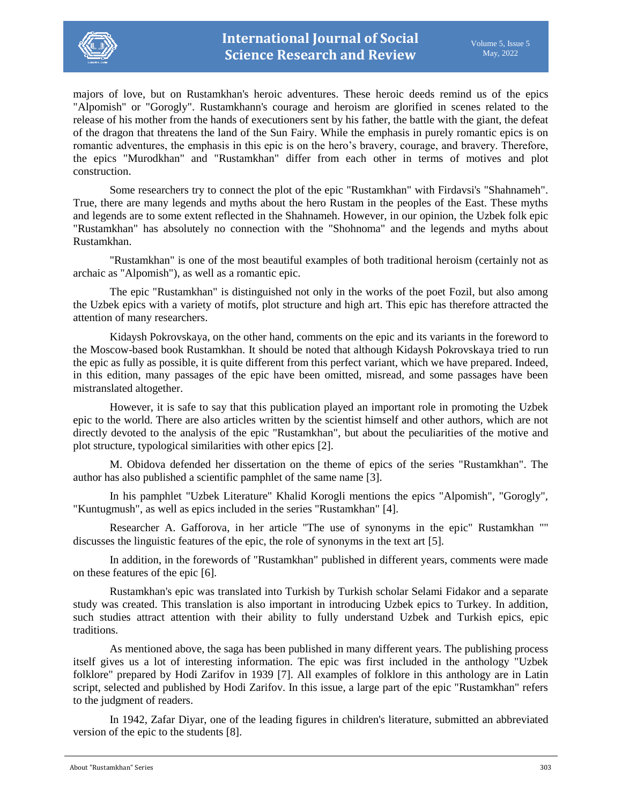

majors of love, but on Rustamkhan's heroic adventures. These heroic deeds remind us of the epics "Alpomish" or "Gorogly". Rustamkhann's courage and heroism are glorified in scenes related to the release of his mother from the hands of executioners sent by his father, the battle with the giant, the defeat of the dragon that threatens the land of the Sun Fairy. While the emphasis in purely romantic epics is on romantic adventures, the emphasis in this epic is on the hero's bravery, courage, and bravery. Therefore, the epics "Murodkhan" and "Rustamkhan" differ from each other in terms of motives and plot construction.

Some researchers try to connect the plot of the epic "Rustamkhan" with Firdavsi's "Shahnameh". True, there are many legends and myths about the hero Rustam in the peoples of the East. These myths and legends are to some extent reflected in the Shahnameh. However, in our opinion, the Uzbek folk epic "Rustamkhan" has absolutely no connection with the "Shohnoma" and the legends and myths about Rustamkhan.

"Rustamkhan" is one of the most beautiful examples of both traditional heroism (certainly not as archaic as "Alpomish"), as well as a romantic epic.

The epic "Rustamkhan" is distinguished not only in the works of the poet Fozil, but also among the Uzbek epics with a variety of motifs, plot structure and high art. This epic has therefore attracted the attention of many researchers.

Kidaysh Pokrovskaya, on the other hand, comments on the epic and its variants in the foreword to the Moscow-based book Rustamkhan. It should be noted that although Kidaysh Pokrovskaya tried to run the epic as fully as possible, it is quite different from this perfect variant, which we have prepared. Indeed, in this edition, many passages of the epic have been omitted, misread, and some passages have been mistranslated altogether.

However, it is safe to say that this publication played an important role in promoting the Uzbek epic to the world. There are also articles written by the scientist himself and other authors, which are not directly devoted to the analysis of the epic "Rustamkhan", but about the peculiarities of the motive and plot structure, typological similarities with other epics [2].

M. Obidova defended her dissertation on the theme of epics of the series "Rustamkhan". The author has also published a scientific pamphlet of the same name [3].

In his pamphlet "Uzbek Literature" Khalid Korogli mentions the epics "Alpomish", "Gorogly", "Kuntugmush", as well as epics included in the series "Rustamkhan" [4].

Researcher A. Gafforova, in her article "The use of synonyms in the epic" Rustamkhan "" discusses the linguistic features of the epic, the role of synonyms in the text art [5].

In addition, in the forewords of "Rustamkhan" published in different years, comments were made on these features of the epic [6].

Rustamkhan's epic was translated into Turkish by Turkish scholar Selami Fidakor and a separate study was created. This translation is also important in introducing Uzbek epics to Turkey. In addition, such studies attract attention with their ability to fully understand Uzbek and Turkish epics, epic traditions.

As mentioned above, the saga has been published in many different years. The publishing process itself gives us a lot of interesting information. The epic was first included in the anthology "Uzbek folklore" prepared by Hodi Zarifov in 1939 [7]. All examples of folklore in this anthology are in Latin script, selected and published by Hodi Zarifov. In this issue, a large part of the epic "Rustamkhan" refers to the judgment of readers.

In 1942, Zafar Diyar, one of the leading figures in children's literature, submitted an abbreviated version of the epic to the students [8].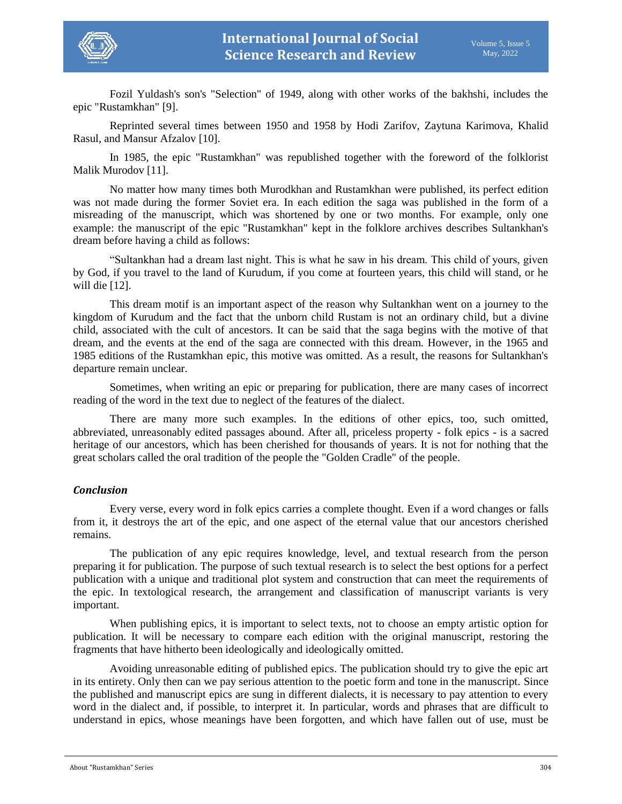

Fozil Yuldash's son's "Selection" of 1949, along with other works of the bakhshi, includes the epic "Rustamkhan" [9].

Reprinted several times between 1950 and 1958 by Hodi Zarifov, Zaytuna Karimova, Khalid Rasul, and Mansur Afzalov [10].

In 1985, the epic "Rustamkhan" was republished together with the foreword of the folklorist Malik Murodov [11].

No matter how many times both Murodkhan and Rustamkhan were published, its perfect edition was not made during the former Soviet era. In each edition the saga was published in the form of a misreading of the manuscript, which was shortened by one or two months. For example, only one example: the manuscript of the epic "Rustamkhan" kept in the folklore archives describes Sultankhan's dream before having a child as follows:

"Sultankhan had a dream last night. This is what he saw in his dream. This child of yours, given by God, if you travel to the land of Kurudum, if you come at fourteen years, this child will stand, or he will die [12].

This dream motif is an important aspect of the reason why Sultankhan went on a journey to the kingdom of Kurudum and the fact that the unborn child Rustam is not an ordinary child, but a divine child, associated with the cult of ancestors. It can be said that the saga begins with the motive of that dream, and the events at the end of the saga are connected with this dream. However, in the 1965 and 1985 editions of the Rustamkhan epic, this motive was omitted. As a result, the reasons for Sultankhan's departure remain unclear.

Sometimes, when writing an epic or preparing for publication, there are many cases of incorrect reading of the word in the text due to neglect of the features of the dialect.

There are many more such examples. In the editions of other epics, too, such omitted, abbreviated, unreasonably edited passages abound. After all, priceless property - folk epics - is a sacred heritage of our ancestors, which has been cherished for thousands of years. It is not for nothing that the great scholars called the oral tradition of the people the "Golden Cradle" of the people.

### *Conclusion*

Every verse, every word in folk epics carries a complete thought. Even if a word changes or falls from it, it destroys the art of the epic, and one aspect of the eternal value that our ancestors cherished remains.

The publication of any epic requires knowledge, level, and textual research from the person preparing it for publication. The purpose of such textual research is to select the best options for a perfect publication with a unique and traditional plot system and construction that can meet the requirements of the epic. In textological research, the arrangement and classification of manuscript variants is very important.

When publishing epics, it is important to select texts, not to choose an empty artistic option for publication. It will be necessary to compare each edition with the original manuscript, restoring the fragments that have hitherto been ideologically and ideologically omitted.

Avoiding unreasonable editing of published epics. The publication should try to give the epic art in its entirety. Only then can we pay serious attention to the poetic form and tone in the manuscript. Since the published and manuscript epics are sung in different dialects, it is necessary to pay attention to every word in the dialect and, if possible, to interpret it. In particular, words and phrases that are difficult to understand in epics, whose meanings have been forgotten, and which have fallen out of use, must be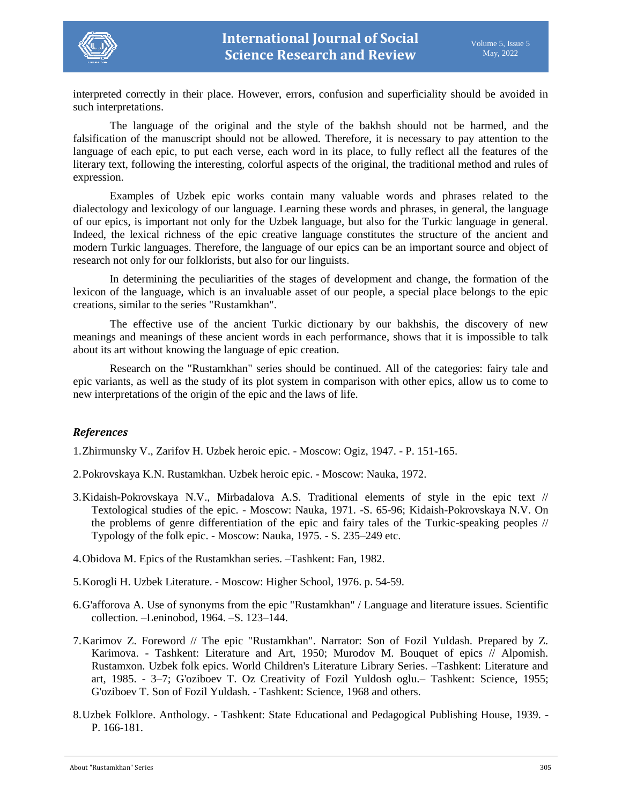

interpreted correctly in their place. However, errors, confusion and superficiality should be avoided in such interpretations.

The language of the original and the style of the bakhsh should not be harmed, and the falsification of the manuscript should not be allowed. Therefore, it is necessary to pay attention to the language of each epic, to put each verse, each word in its place, to fully reflect all the features of the literary text, following the interesting, colorful aspects of the original, the traditional method and rules of expression.

Examples of Uzbek epic works contain many valuable words and phrases related to the dialectology and lexicology of our language. Learning these words and phrases, in general, the language of our epics, is important not only for the Uzbek language, but also for the Turkic language in general. Indeed, the lexical richness of the epic creative language constitutes the structure of the ancient and modern Turkic languages. Therefore, the language of our epics can be an important source and object of research not only for our folklorists, but also for our linguists.

In determining the peculiarities of the stages of development and change, the formation of the lexicon of the language, which is an invaluable asset of our people, a special place belongs to the epic creations, similar to the series "Rustamkhan".

The effective use of the ancient Turkic dictionary by our bakhshis, the discovery of new meanings and meanings of these ancient words in each performance, shows that it is impossible to talk about its art without knowing the language of epic creation.

Research on the "Rustamkhan" series should be continued. All of the categories: fairy tale and epic variants, as well as the study of its plot system in comparison with other epics, allow us to come to new interpretations of the origin of the epic and the laws of life.

## *References*

1.Zhirmunsky V., Zarifov H. Uzbek heroic epic. - Moscow: Ogiz, 1947. - P. 151-165.

- 2.Pokrovskaya K.N. Rustamkhan. Uzbek heroic epic. Moscow: Nauka, 1972.
- 3.Kidaish-Pokrovskaya N.V., Mirbadalova A.S. Traditional elements of style in the epic text // Textological studies of the epic. - Moscow: Nauka, 1971. -S. 65-96; Kidaish-Pokrovskaya N.V. On the problems of genre differentiation of the epic and fairy tales of the Turkic-speaking peoples // Typology of the folk epic. - Moscow: Nauka, 1975. - S. 235–249 etc.
- 4.Obidova M. Epics of the Rustamkhan series. –Tashkent: Fan, 1982.
- 5.Korogli H. Uzbek Literature. Moscow: Higher School, 1976. p. 54-59.
- 6.G'afforova A. Use of synonyms from the epic "Rustamkhan" / Language and literature issues. Scientific collection. –Leninobod, 1964. –S. 123–144.
- 7.Karimov Z. Foreword // The epic "Rustamkhan". Narrator: Son of Fozil Yuldash. Prepared by Z. Karimova. - Tashkent: Literature and Art, 1950; Murodov M. Bouquet of epics // Alpomish. Rustamxon. Uzbek folk epics. World Children's Literature Library Series. –Tashkent: Literature and art, 1985. - 3–7; G'oziboev T. Oz Creativity of Fozil Yuldosh oglu.– Tashkent: Science, 1955; G'oziboev T. Son of Fozil Yuldash. - Tashkent: Science, 1968 and others.
- 8.Uzbek Folklore. Anthology. Tashkent: State Educational and Pedagogical Publishing House, 1939. P. 166-181.